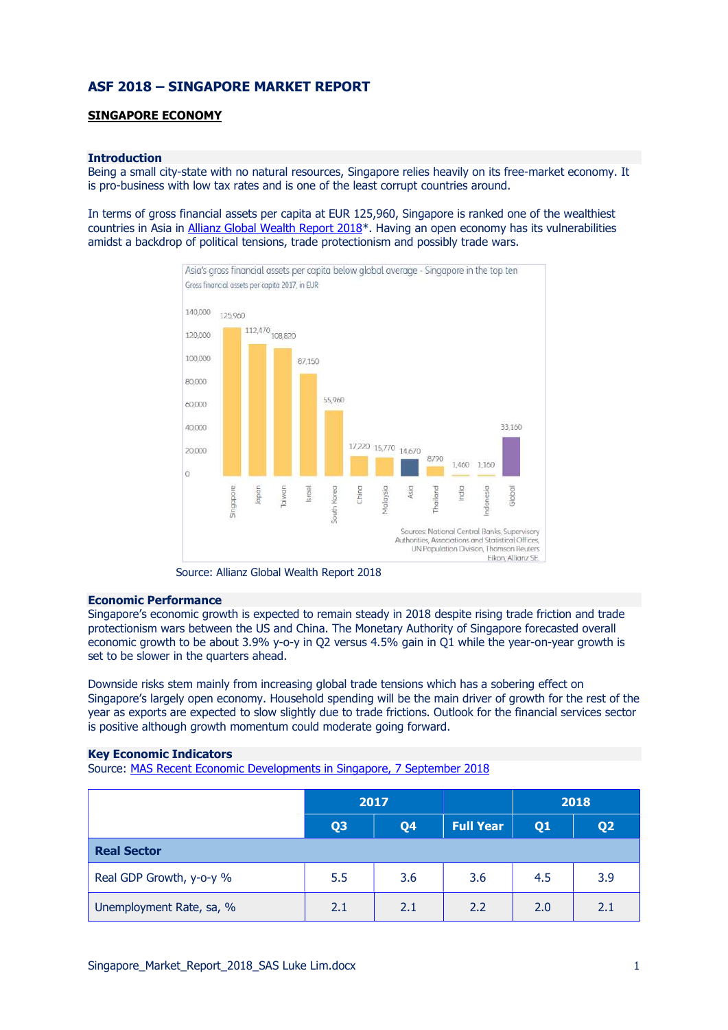# ASF 2018 – SINGAPORE MARKET REPORT

# SINGAPORE ECONOMY

#### Introduction

Being a small city-state with no natural resources, Singapore relies heavily on its free-market economy. It is pro-business with low tax rates and is one of the least corrupt countries around.

In terms of gross financial assets per capita at EUR 125,960, Singapore is ranked one of the wealthiest countries in Asia in Allianz Global Wealth Report 2018\*. Having an open economy has its vulnerabilities amidst a backdrop of political tensions, trade protectionism and possibly trade wars.



Source: Allianz Global Wealth Report 2018

#### Economic Performance

Singapore's economic growth is expected to remain steady in 2018 despite rising trade friction and trade protectionism wars between the US and China. The Monetary Authority of Singapore forecasted overall economic growth to be about 3.9% y-o-y in Q2 versus 4.5% gain in Q1 while the year-on-year growth is set to be slower in the quarters ahead.

Downside risks stem mainly from increasing global trade tensions which has a sobering effect on Singapore's largely open economy. Household spending will be the main driver of growth for the rest of the year as exports are expected to slow slightly due to trade frictions. Outlook for the financial services sector is positive although growth momentum could moderate going forward.

#### Key Economic Indicators

Source: MAS Recent Economic Developments in Singapore, 7 September 2018

|                          | 2017           |                |                  | 2018           |                |  |  |  |
|--------------------------|----------------|----------------|------------------|----------------|----------------|--|--|--|
|                          | Q <sub>3</sub> | Q <sub>4</sub> | <b>Full Year</b> | Q <sub>1</sub> | Q <sub>2</sub> |  |  |  |
| <b>Real Sector</b>       |                |                |                  |                |                |  |  |  |
| Real GDP Growth, y-o-y % | 5.5            | 3.6            | 3.6              | 4.5            | 3.9            |  |  |  |
| Unemployment Rate, sa, % | 2.1            | 2.1            | 2.2              | 2.0            | 2.1            |  |  |  |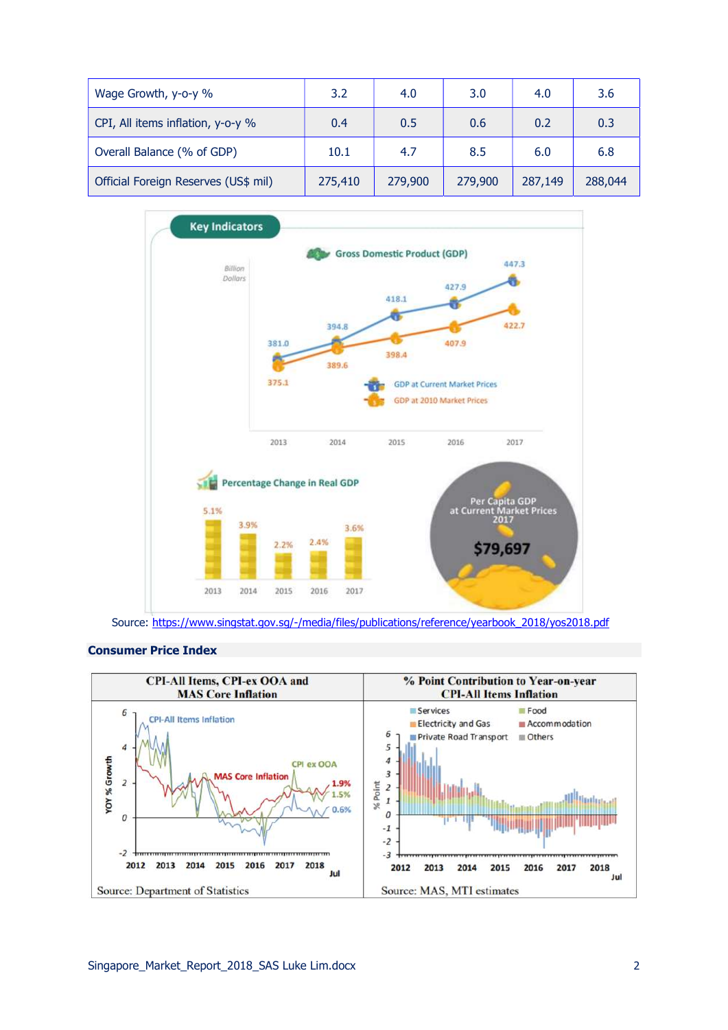| Wage Growth, y-o-y %                 | 3.2     | 4.0     | 3.0     | 4.0     | 3.6     |
|--------------------------------------|---------|---------|---------|---------|---------|
| CPI, All items inflation, y-o-y %    | 0.4     | 0.5     | 0.6     | 0.2     | 0.3     |
| Overall Balance (% of GDP)           | 10.1    | 4.7     | 8.5     | 6.0     | 6.8     |
| Official Foreign Reserves (US\$ mil) | 275,410 | 279,900 | 279,900 | 287,149 | 288,044 |



Source: https://www.singstat.gov.sg/-/media/files/publications/reference/yearbook\_2018/yos2018.pdf

### Consumer Price Index

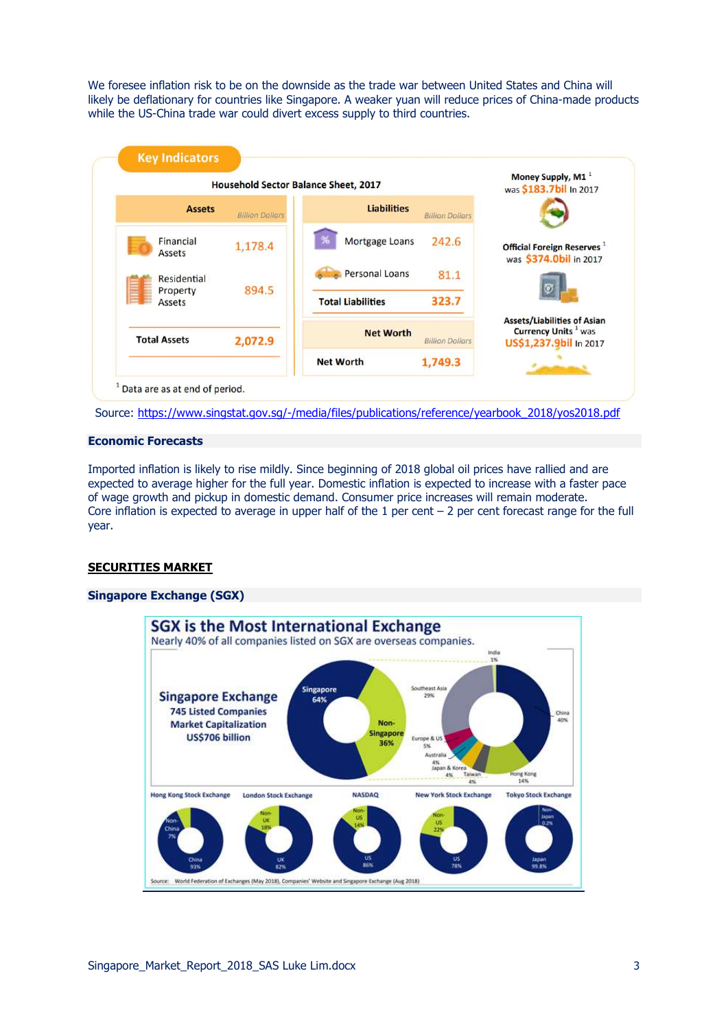We foresee inflation risk to be on the downside as the trade war between United States and China will likely be deflationary for countries like Singapore. A weaker yuan will reduce prices of China-made products while the US-China trade war could divert excess supply to third countries.



Source: https://www.singstat.gov.sg/-/media/files/publications/reference/yearbook\_2018/yos2018.pdf

#### Economic Forecasts

Imported inflation is likely to rise mildly. Since beginning of 2018 global oil prices have rallied and are expected to average higher for the full year. Domestic inflation is expected to increase with a faster pace of wage growth and pickup in domestic demand. Consumer price increases will remain moderate. Core inflation is expected to average in upper half of the 1 per cent – 2 per cent forecast range for the full year.

### SECURITIES MARKET

# Singapore Exchange (SGX)

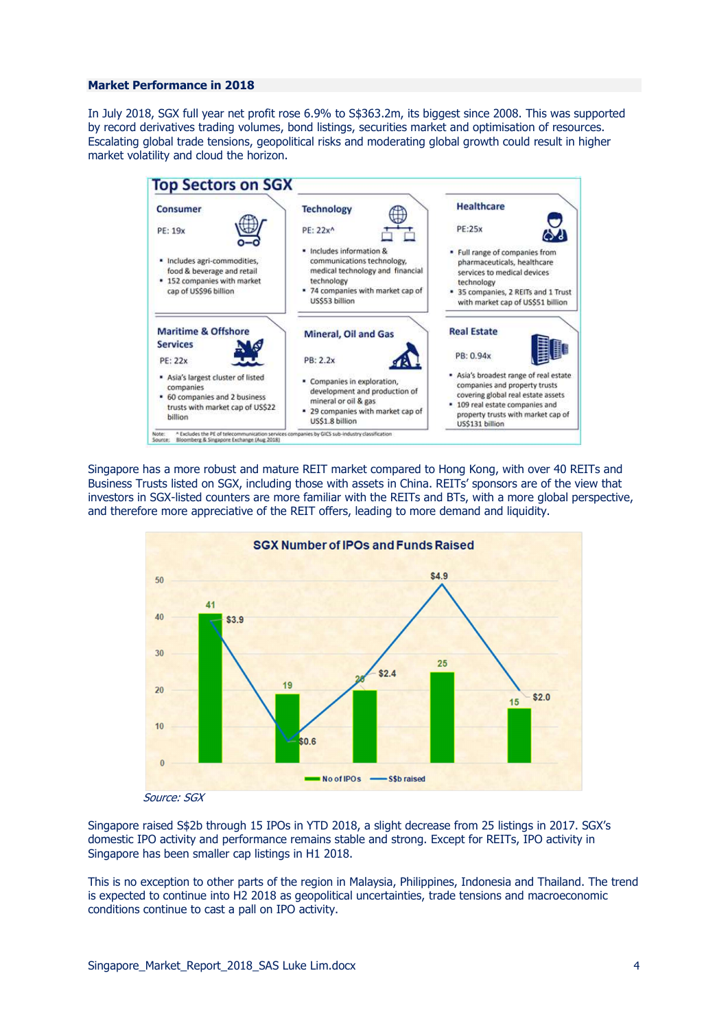#### Market Performance in 2018

In July 2018, SGX full year net profit rose 6.9% to S\$363.2m, its biggest since 2008. This was supported by record derivatives trading volumes, bond listings, securities market and optimisation of resources. Escalating global trade tensions, geopolitical risks and moderating global growth could result in higher market volatility and cloud the horizon.



Singapore has a more robust and mature REIT market compared to Hong Kong, with over 40 REITs and Business Trusts listed on SGX, including those with assets in China. REITs' sponsors are of the view that investors in SGX-listed counters are more familiar with the REITs and BTs, with a more global perspective, and therefore more appreciative of the REIT offers, leading to more demand and liquidity.



Singapore raised S\$2b through 15 IPOs in YTD 2018, a slight decrease from 25 listings in 2017. SGX's domestic IPO activity and performance remains stable and strong. Except for REITs, IPO activity in Singapore has been smaller cap listings in H1 2018.

This is no exception to other parts of the region in Malaysia, Philippines, Indonesia and Thailand. The trend is expected to continue into H2 2018 as geopolitical uncertainties, trade tensions and macroeconomic conditions continue to cast a pall on IPO activity.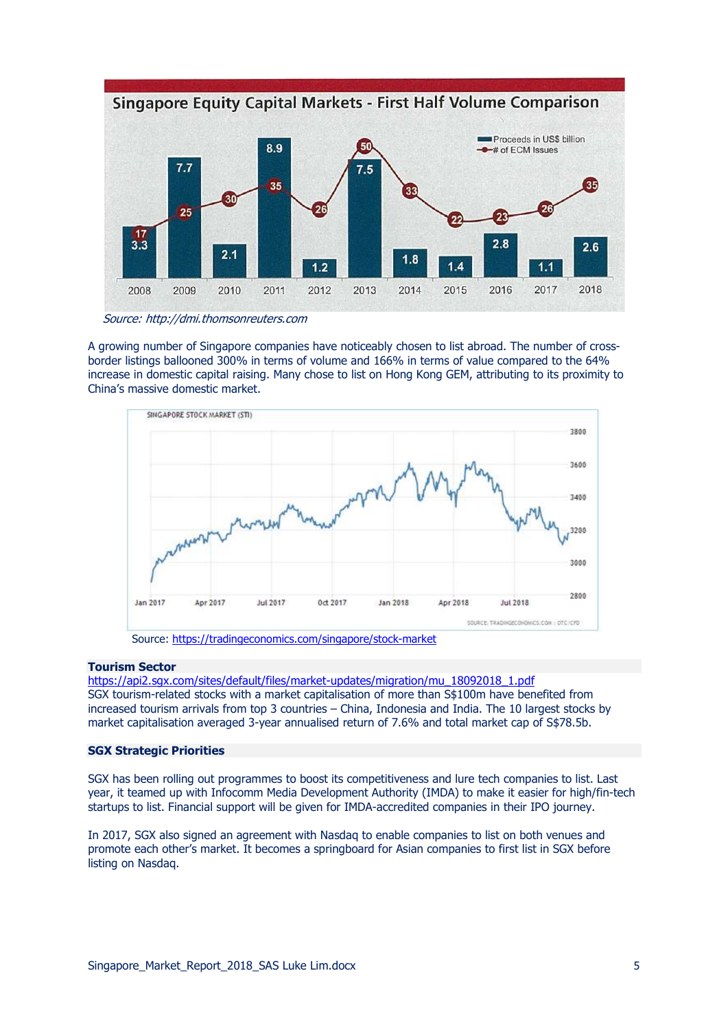

Source: http://dmi.thomsonreuters.com

A growing number of Singapore companies have noticeably chosen to list abroad. The number of crossborder listings ballooned 300% in terms of volume and 166% in terms of value compared to the 64% increase in domestic capital raising. Many chose to list on Hong Kong GEM, attributing to its proximity to China's massive domestic market.



### Tourism Sector

https://api2.sgx.com/sites/default/files/market-updates/migration/mu\_18092018\_1.pdf SGX tourism-related stocks with a market capitalisation of more than S\$100m have benefited from increased tourism arrivals from top 3 countries – China, Indonesia and India. The 10 largest stocks by market capitalisation averaged 3-year annualised return of 7.6% and total market cap of S\$78.5b.

### SGX Strategic Priorities

SGX has been rolling out programmes to boost its competitiveness and lure tech companies to list. Last year, it teamed up with Infocomm Media Development Authority (IMDA) to make it easier for high/fin-tech startups to list. Financial support will be given for IMDA-accredited companies in their IPO journey.

In 2017, SGX also signed an agreement with Nasdaq to enable companies to list on both venues and promote each other's market. It becomes a springboard for Asian companies to first list in SGX before listing on Nasdaq.